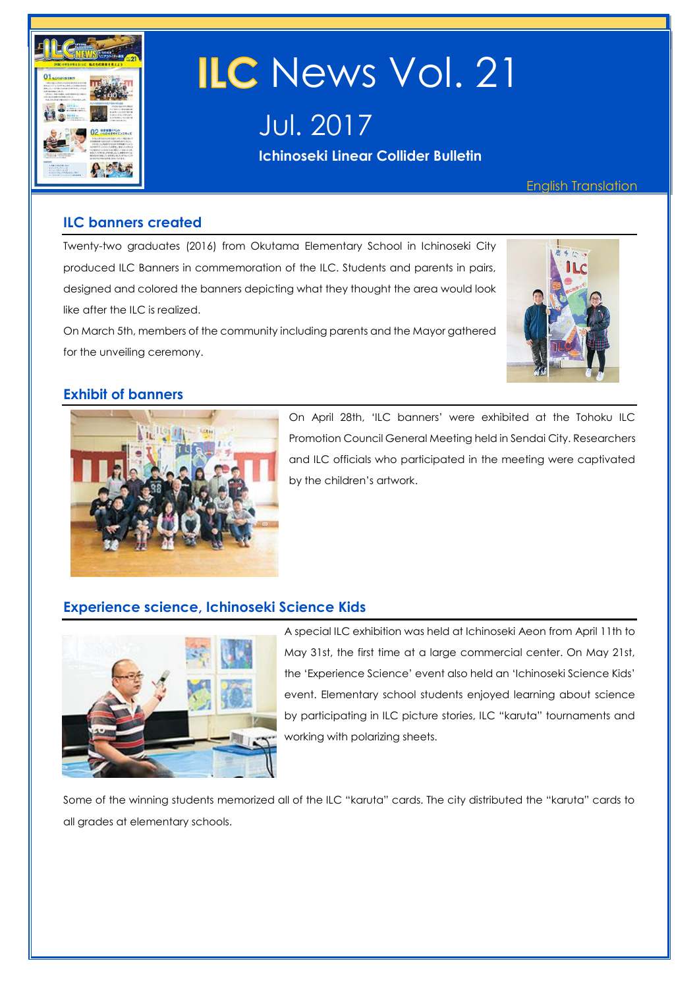

# **ILC** News Vol. 21

Jul. 2017

**Ichinoseki Linear Collider Bulletin** 

English Translation

## **ILC banners created**

Twenty-two graduates (2016) from Okutama Elementary School in Ichinoseki City produced ILC Banners in commemoration of the ILC. Students and parents in pairs, designed and colored the banners depicting what they thought the area would look like after the ILC is realized.

On March 5th, members of the community including parents and the Mayor gathered for the unveiling ceremony.



## **Exhibit of banners**



On April 28th, 'ILC banners' were exhibited at the Tohoku ILC Promotion Council General Meeting held in Sendai City. Researchers and ILC officials who participated in the meeting were captivated by the children's artwork.

## **Experience science, Ichinoseki Science Kids**



A special ILC exhibition was held at Ichinoseki Aeon from April 11th to May 31st, the first time at a large commercial center. On May 21st, the 'Experience Science' event also held an 'Ichinoseki Science Kids' event. Elementary school students enjoyed learning about science by participating in ILC picture stories, ILC "karuta" tournaments and working with polarizing sheets.

Some of the winning students memorized all of the ILC "karuta" cards. The city distributed the "karuta" cards to all grades at elementary schools.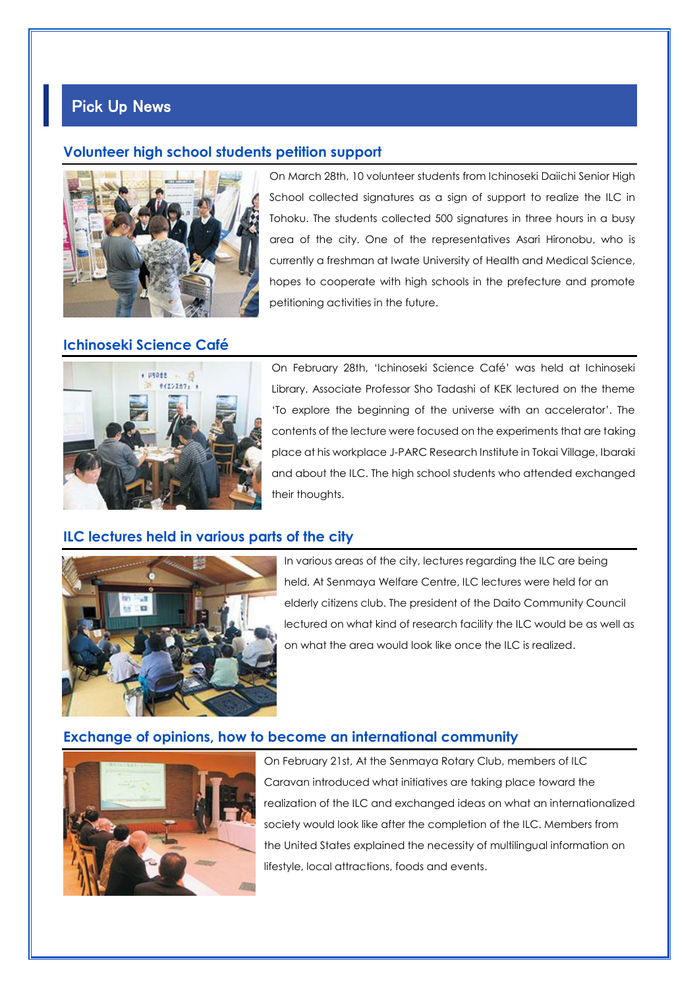# Pick Up News

## **Volunteer high school students petition support**



On March 28th, 10 volunteer students from Ichinoseki Daiichi Senior High School collected signatures as a sign of support to realize the ILC in Tohoku. The students collected 500 signatures in three hours in a busy area of the city. One of the representatives Asari Hironobu, who is currently a freshman at Iwate University of Health and Medical Science, hopes to cooperate with high schools in the prefecture and promote petitioning activities in the future.

## **Ichinoseki Science Café**



On February 28th, 'Ichinoseki Science Café' was held at Ichinoseki Library. Associate Professor Sho Tadashi of KEK lectured on the theme 'To explore the beginning of the universe with an accelerator'. The contents of the lecture were focused on the experiments that are taking place at his workplace J-PARC Research Institute in Tokai Village, Ibaraki and about the ILC. The high school students who attended exchanged their thoughts.

## **ILC lectures held in various parts of the city**



In various areas of the city, lectures regarding the ILC are being held. At Senmaya Welfare Centre, ILC lectures were held for an elderly citizens club. The president of the Daito Community Council lectured on what kind of research facility the ILC would be as well as on what the area would look like once the ILC is realized.

#### **Exchange of opinions, how to become an international community**



On February 21st, At the Senmaya Rotary Club, members of ILC Caravan introduced what initiatives are taking place toward the realization of the ILC and exchanged ideas on what an internationalized society would look like after the completion of the ILC. Members from the United States explained the necessity of multilingual information on lifestyle, local attractions, foods and events.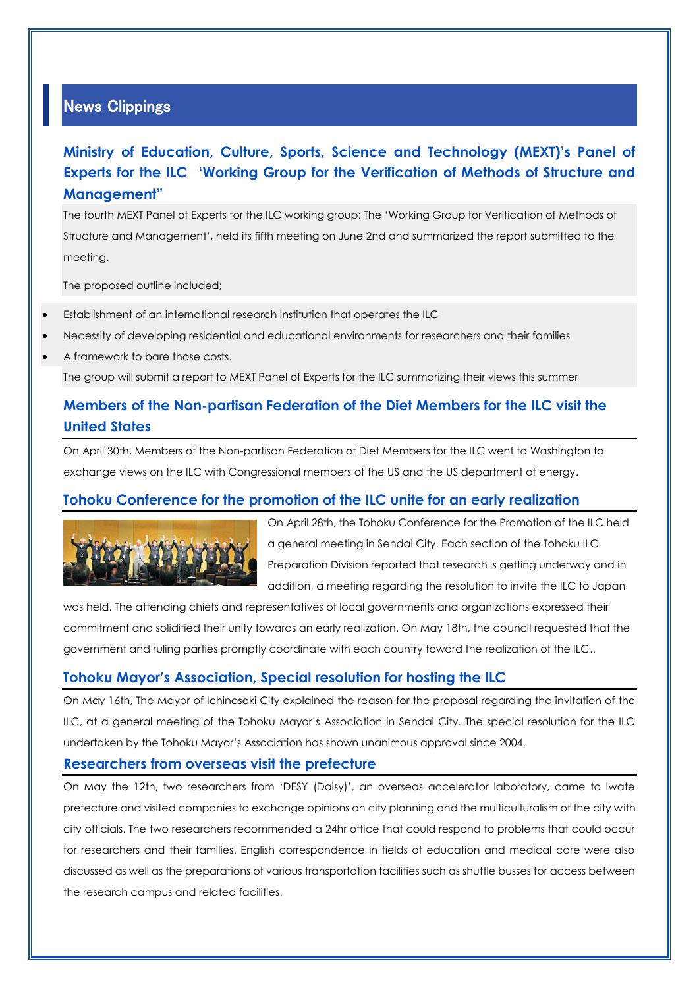## News Clippings

# **Ministry of Education, Culture, Sports, Science and Technology (MEXT)'s Panel of Experts for the ILC 'Working Group for the Verification of Methods of Structure and Management"**

The fourth MEXT Panel of Experts for the ILC working group; The 'Working Group for Verification of Methods of Structure and Management', held its fifth meeting on June 2nd and summarized the report submitted to the meeting.

The proposed outline included;

- Establishment of an international research institution that operates the ILC
- Necessity of developing residential and educational environments for researchers and their families
- A framework to bare those costs.

The group will submit a report to MEXT Panel of Experts for the ILC summarizing their views this summer

## **Members of the Non-partisan Federation of the Diet Members for the ILC visit the United States**

On April 30th, Members of the Non-partisan Federation of Diet Members for the ILC went to Washington to exchange views on the ILC with Congressional members of the US and the US department of energy.

#### **Tohoku Conference for the promotion of the ILC unite for an early realization**



On April 28th, the Tohoku Conference for the Promotion of the ILC held a general meeting in Sendai City. Each section of the Tohoku ILC Preparation Division reported that research is getting underway and in addition, a meeting regarding the resolution to invite the ILC to Japan

was held. The attending chiefs and representatives of local governments and organizations expressed their commitment and solidified their unity towards an early realization. On May 18th, the council requested that the government and ruling parties promptly coordinate with each country toward the realization of the ILC..

## **Tohoku Mayor's Association, Special resolution for hosting the ILC**

On May 16th, The Mayor of Ichinoseki City explained the reason for the proposal regarding the invitation of the ILC, at a general meeting of the Tohoku Mayor's Association in Sendai City. The special resolution for the ILC undertaken by the Tohoku Mayor's Association has shown unanimous approval since 2004.

#### **Researchers from overseas visit the prefecture**

On May the 12th, two researchers from 'DESY (Daisy)', an overseas accelerator laboratory, came to Iwate prefecture and visited companies to exchange opinions on city planning and the multiculturalism of the city with city officials. The two researchers recommended a 24hr office that could respond to problems that could occur for researchers and their families. English correspondence in fields of education and medical care were also discussed as well as the preparations of various transportation facilities such as shuttle busses for access between the research campus and related facilities.